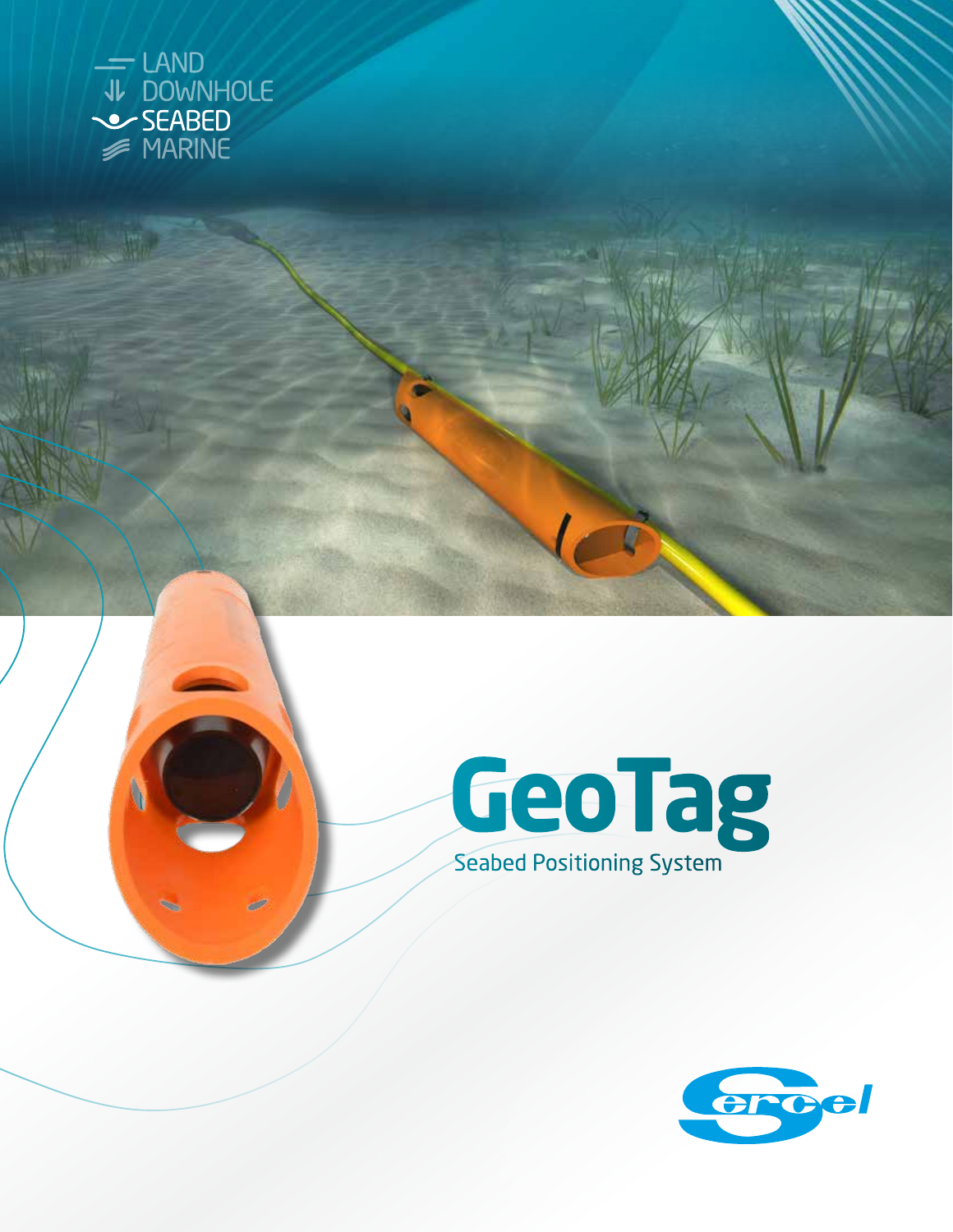



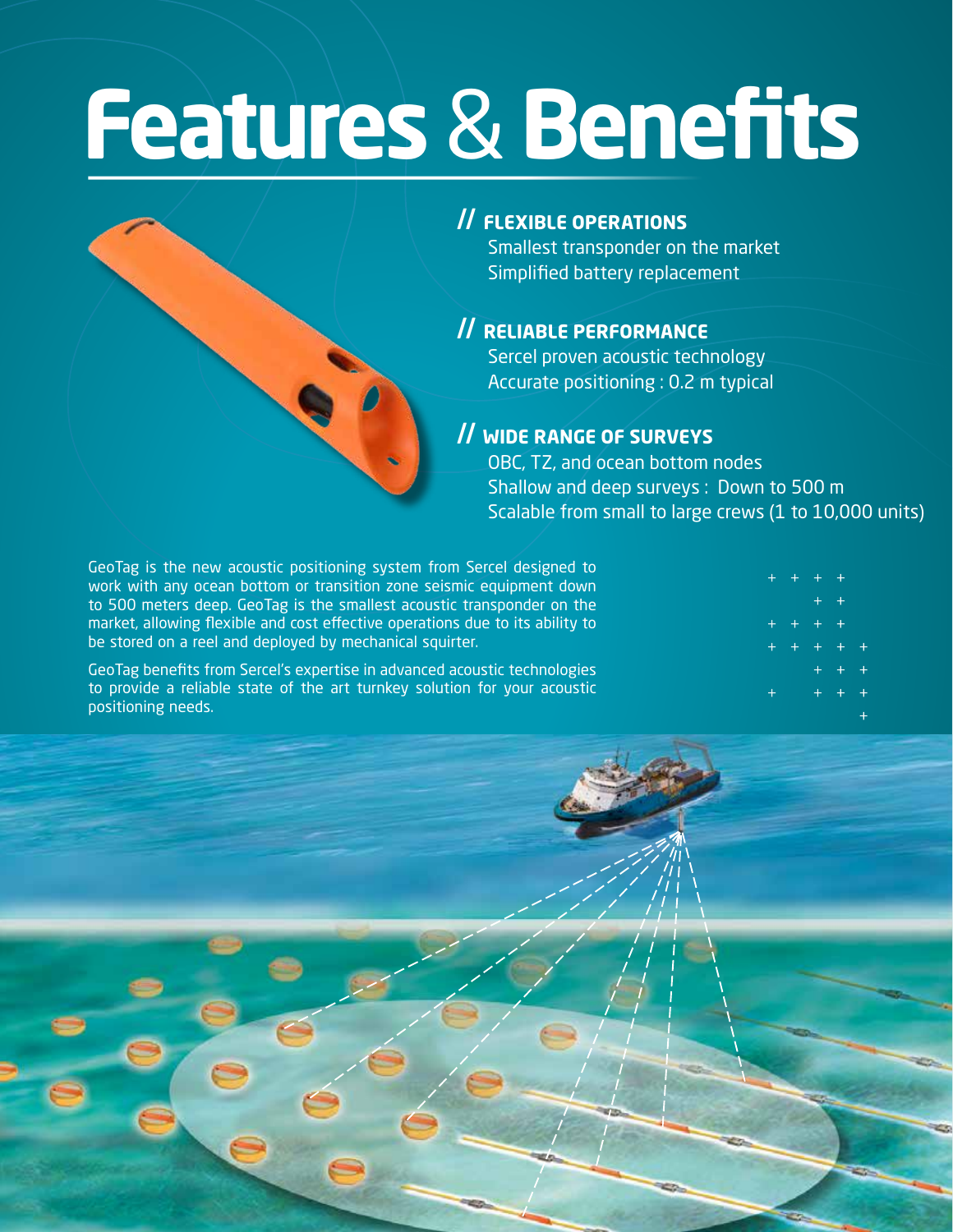# **Features** & **Benefits**



## // **FLEXIBLE OPERATIONS**

Smallest transponder on the market Simplified battery replacement

### // **RELIABLE PERFORMANCE**

Sercel proven acoustic technology Accurate positioning : 0.2 m typical

### // **WIDE RANGE OF SURVEYS**

OBC, TZ, and ocean bottom nodes Shallow and deep surveys : Down to 500 m Scalable from small to large crews (1 to 10,000 units)

GeoTag is the new acoustic positioning system from Sercel designed to work with any ocean bottom or transition zone seismic equipment down to 500 meters deep. GeoTag is the smallest acoustic transponder on the market, allowing flexible and cost effective operations due to its ability to be stored on a reel and deployed by mechanical squirter.

GeoTag benefits from Sercel's expertise in advanced acoustic technologies to provide a reliable state of the art turnkey solution for your acoustic positioning needs.

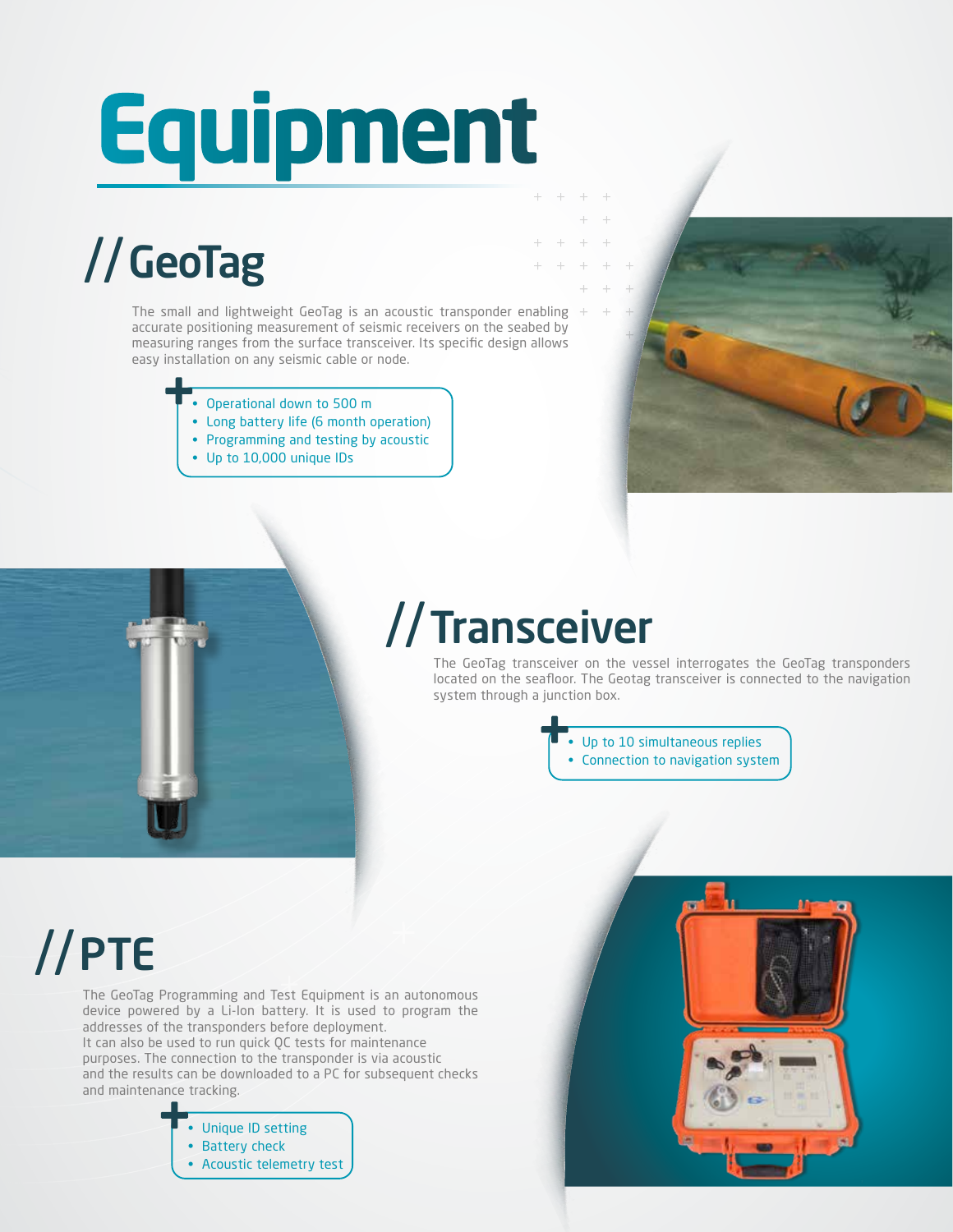# **Equipment**

# //GeoTag

The small and lightweight GeoTag is an acoustic transponder enabling  $+$ accurate positioning measurement of seismic receivers on the seabed by measuring ranges from the surface transceiver. Its specific design allows easy installation on any seismic cable or node.

- Operational down to 500 m
- Long battery life (6 month operation)
- Programming and testing by acoustic
- Up to 10,000 unique IDs





## //Transceiver

The GeoTag transceiver on the vessel interrogates the GeoTag transponders located on the seafloor. The Geotag transceiver is connected to the navigation system through a junction box.

> • Up to 10 simultaneous replies • Connection to navigation system

## //PTE

The GeoTag Programming and Test Equipment is an autonomous device powered by a Li-Ion battery. It is used to program the addresses of the transponders before deployment. It can also be used to run quick QC tests for maintenance purposes. The connection to the transponder is via acoustic and the results can be downloaded to a PC for subsequent checks and maintenance tracking.